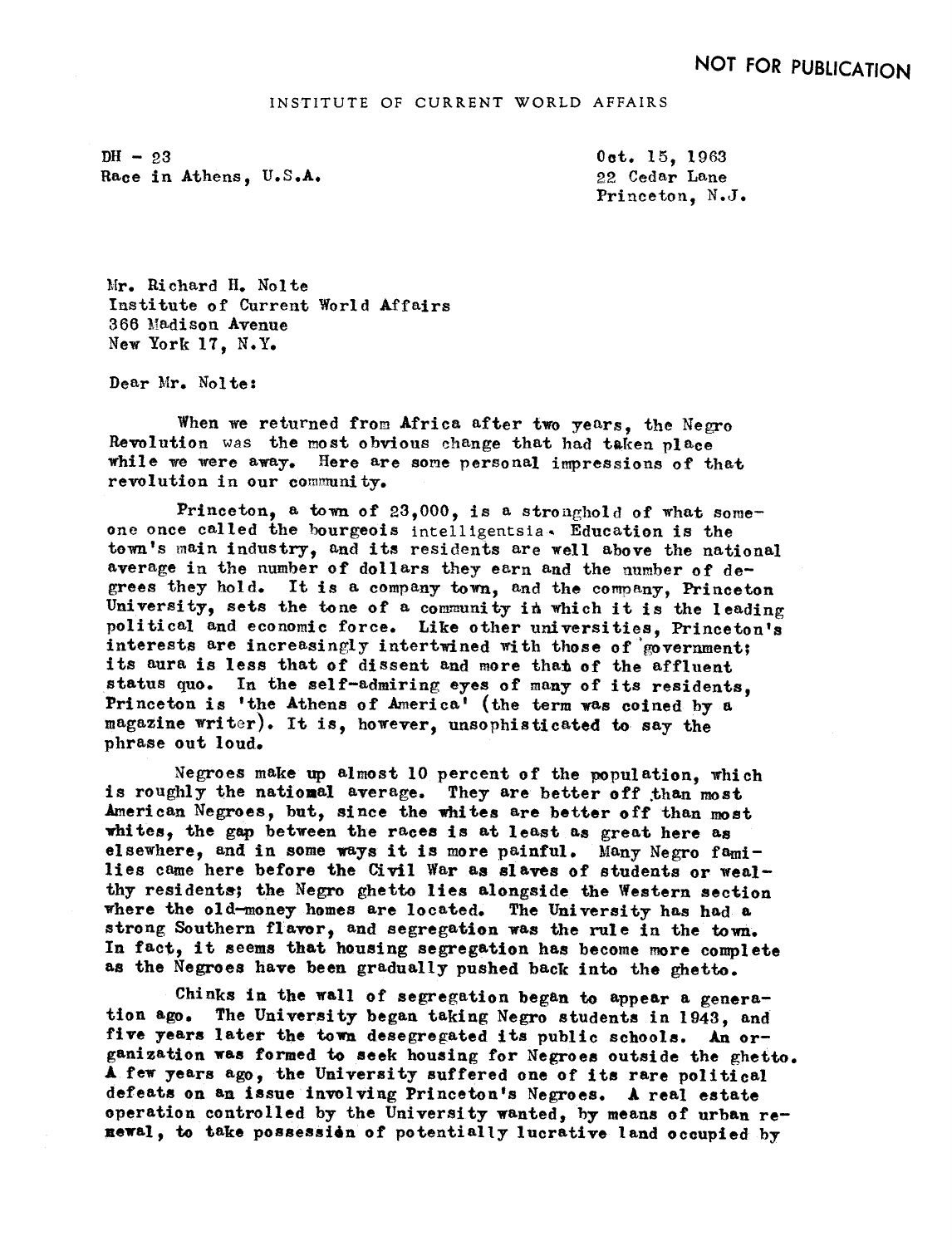$DH - 23$ Race in Athens, U.S.A.

0ct. 15. 1963 22 Cedar Lane Princeton, N.J.

Mr. Richard H. Nolte Institute of Current World Affairs 366 Madison Avenue New York 17. N.Y.

Dear Mr. Nolte:

When we returned from Africa after two years, the Negro Revolution was the most obvious change that had taken place while we were away. Here are some personal impressions of that revolution in our community.

Princeton, a town of  $23,000$ , is a stronghold of what someone once called the bourgeois intelligentsia. Education is the town's main industry, and its residents are well above the national average in the number of dollars they earn and the number of degrees they hold. It is a company town, and the company, Princeton University, sets the tone of a community in which it is the leading political and economic force. Like other universities, Princeton's interests are increasingly intertwined with those of 'government; its aura is less that of dissent and more that of the affluent status quo. In the self-admiring eyes of many of its residents. Princeton is 'the Athens of America' (the term was coined by a magazine writer). It is, however, unsophisticated to say the phrase out loud.

Negroes make up almost 10 percent of the population, which is roughly the national average. They are better off than most American Negroes, but, since the whites are better off than most whites, the gap between the races is at least as great here as elsewhere, and in some ways it is more painful. Many Negro families came here before the Civil War as slaves of students or wealthy residents; the Negro ghetto lies alongside the Western section where the old-money homes are located. The University has had a strong Southern flavor, and segregation was the rule in the town. In fact, it seems that housing segregation has become more complete as the Negroes have been gradually pushed back into the ghetto.

Chinks in the wall of segregation began to appear a genera-<br>tion ago. The University began taking Negro students in 1943, and The University began taking Negro students in 1943, and five years later the town desegregated its public schools. An organization was formed to seek housing for Negroes outside the ghetto. A few years ago, the University suffered one of its rare political defeats on an issue involving Princeton's Negroes. A real estate operation controlled by the University wanted, by means of urban renewal, to take possession of potentially lucrative land occupied by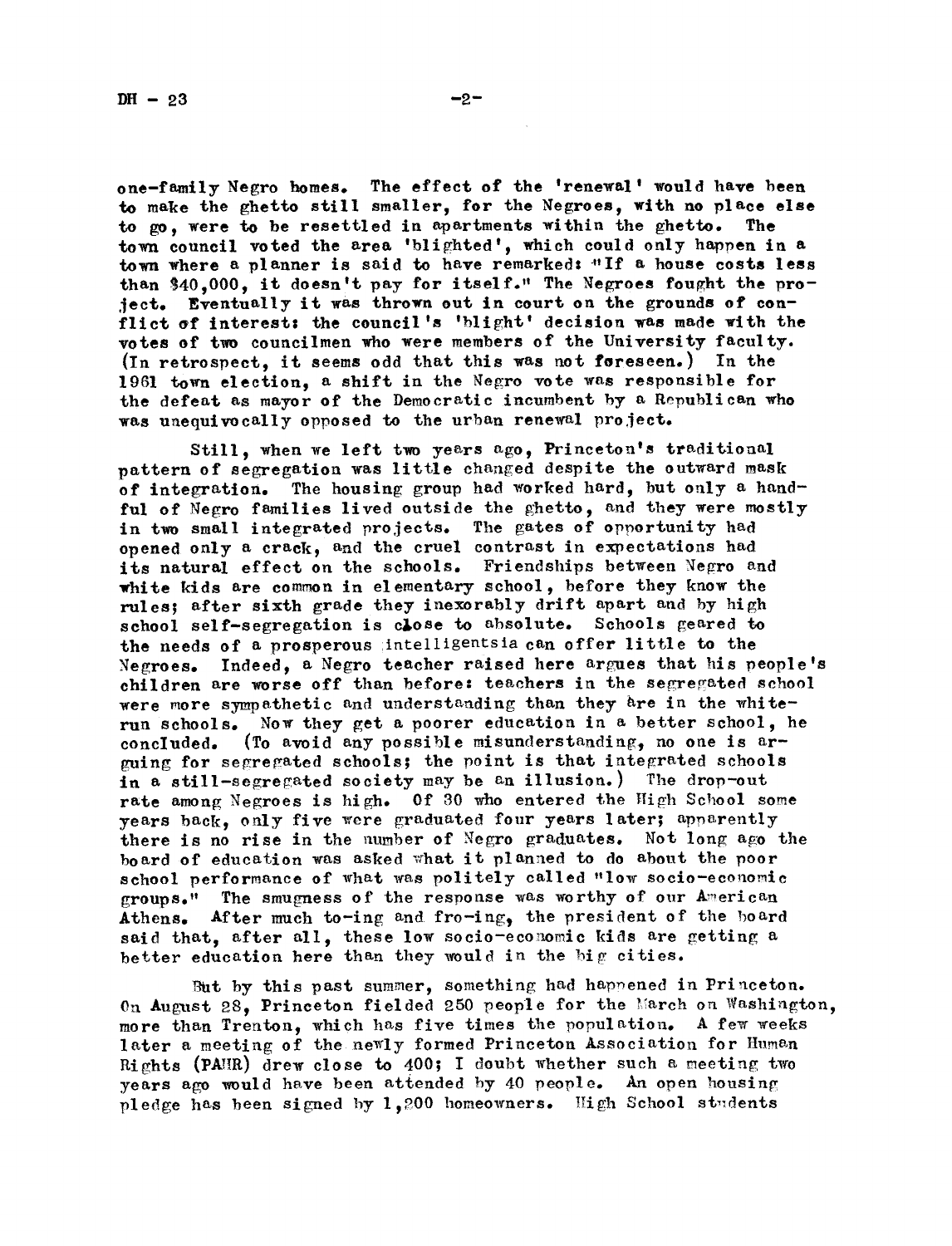one-family Negro homes. The effect of the 'renewal' would have been to make the ghetto still smaller, for the Negroes, with no place else to go, were to be resettled in apartments within the ghetto. The town council voted the area 'blighted', which could only happen in a town where a planner is said to have remarked: "If a house costs less than \$40,000, it doesn't pay for itself."' The Negroes fought the projeer. Eventually it was thrown out in court on the grounds of conflict of interest: the council's 'blight' decision was made with the votes of two councilmen who were members of the University faculty. (In retrospect, it seems odd that this was not foreseen.) In the 1961 town election, a shift in the Negro vote was responsible for the defeat as mayor of the Democratic incumbent by a Republican who was unequivocally opposed to the urban renewal project.

Still, when we left two years ago, Princeton's traditional pattern of segregation was llttle chaned despite the outward mask of integration. The housing group had worked hard, but only a handful of Negro families lived outside the ghetto, and they were mostly in two small integrated projects. The gates of opportunity had opened only a crack, and the cruel contrast in expectations had its natural effect on the schools. Friendships between Negro and white kids are common in elementary school, before they know the rules; after sixth grade they inexorably drift apart and by high school self-segregation is close to absolute. Schools geared to the needs of a prosperous intelligentsia can offer little to the Negroes. Indeed, a Negro teacher raised here argues that his people's children are worse off than before: teachers in the segregated school were more sympathetic and understanding than they are in the whiterun schools. Now they get a poorer education in a better school, he concluded. (To avoid any possible misunderstanding, no one is  $ar$ guing for segregated schools; the point is that integrated schools in a still-segregated society may be an illusion.) The drop-out rate among Negroes is high. Of 30 who entered the High School some years back, only five were graduated four years later; apparently there is no rise in the number of Negro graduates. Not long ago the board of education was asked what it planned to do about the poor school performance of what was politely called "low socio-economic groups." The smugness of the response was worthy of our American Athens. After much to-ing and fro-ing, the president of the board said that, after all, these low socio-economic kids are getting a better education here than they would in the big cities.

But by this past summer, something had happened in Princeton. On August 28, Princeton fielded 250 people for the March on Washington, more than Trenton, which has five times the population. A few weeks later a meeting of the newly formed Princeton Association for Human Rights (PAR) drew close to 400; I doubt whether such a meeting two vears ago would have been attended by 40 people. An open housing pledge has been signed by 1.200 homeowners. High School students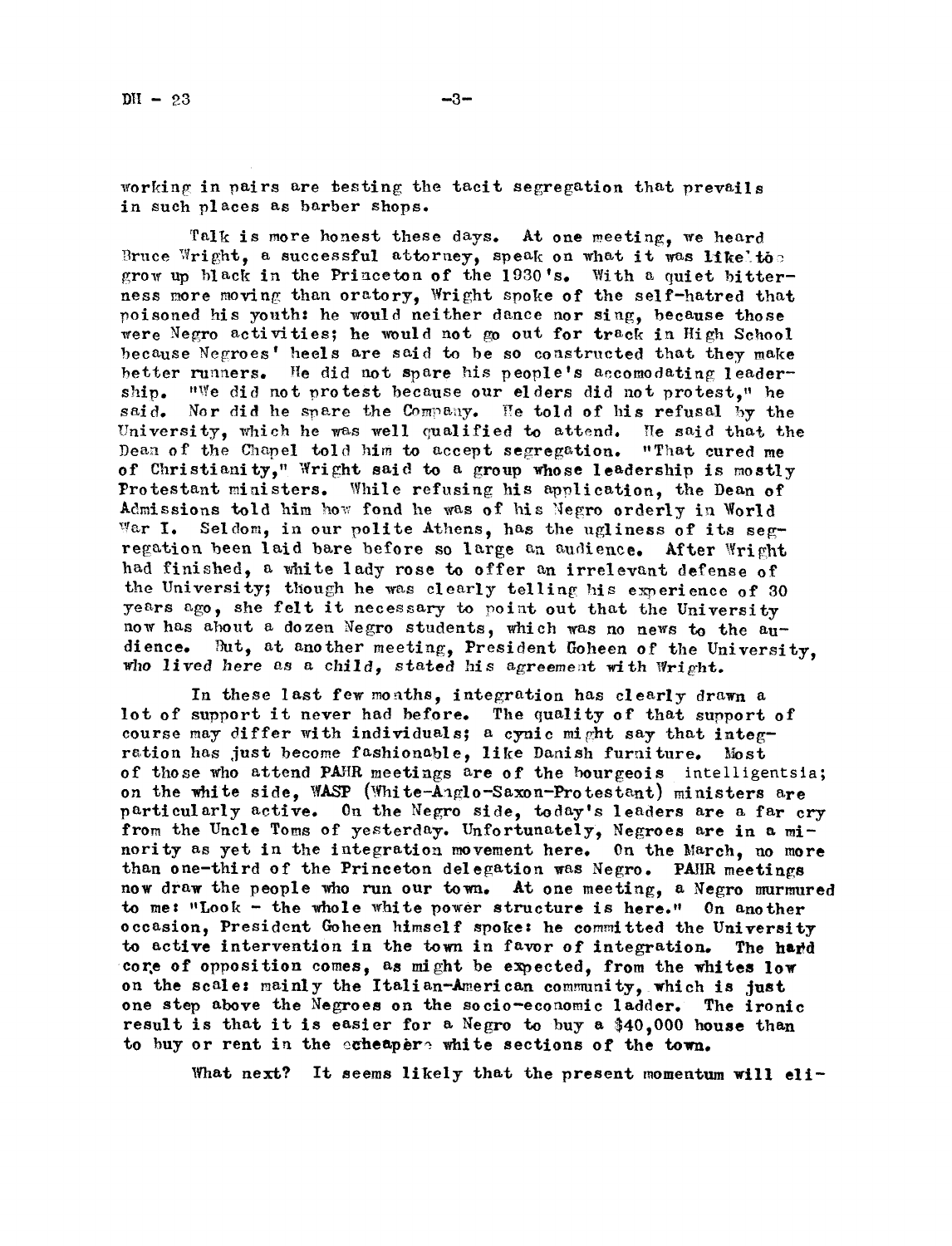$-3-$ 

working in pairs are testing the tacit segregation that prevails in such places as barber shops.

Talk is more honest these days. At one meeting, we heard Bruce Wright, a successful attorney, speak on what it was like to grow up black in the Princeton of the 1930's. With a quiet bitterness more moving than oratory, Wright spoke of the self-hatred that poisoned his youth: he would neither dance nor sing, because those were Negro activities; he would not go out for track in High School because Negroes' heels are said to be so constructed that they make better runners. He did not spare his people's accomodating leadership. "We did not protest because our elders did not protest," he Nor did he spare the Company. He told of his refusal by the said. University, which he was well qualified to attend. He said that the Dean of the Chapel told him to accept segregation. "That cured me of Christianity," Wright said to a group whose leadership is mostly Protestant ministers. While refusing his application, the Dean of Admissions told him how fond he was of his Negro orderly in World War I. Seldom, in our polite Athens, has the ugliness of its segregation been laid bare before so large an audience. After Wright had finished, a white lady rose to offer an irrelevant defense of the University; though he was clearly telling his experience of 30 years ago, she felt it necessary to point out that the University now has about a dozen Negro students, which was no news to the au-But, at another meeting, President Goheen of the University. dience. who lived here as a child, stated his agreement with Wright.

In these last few months, integration has clearly drawn a lot of support it never had before. The quality of that support of course may differ with individuals; a cynic might say that integration has just become fashionable, like Danish furniture. Most of those who attend PAHR meetings are of the bourgeois intelligentsia; on the white side. WASP (White-Anglo-Saxon-Protestant) ministers are particularly active. On the Negro side, today's leaders are a far cry from the Uncle Toms of yesterday. Unfortunately, Negroes are in a minority as yet in the integration movement here. On the March, no more than one-third of the Princeton delegation was Negro. PAHR meetings now draw the people who run our town. At one meeting, a Negro murmured to me: "Look - the whole white power structure is here." On another occasion, President Goheen himself spoke: he committed the University to active intervention in the town in favor of integration. The hard core of opposition comes, as might be expected, from the whites low on the scale: mainly the Italian-American community, which is just one step above the Negroes on the socio-economic ladder. The ironic result is that it is easier for a Negro to buy a \$40,000 house than to buy or rent in the exheapers white sections of the town.

What next? It seems likely that the present momentum will eli-